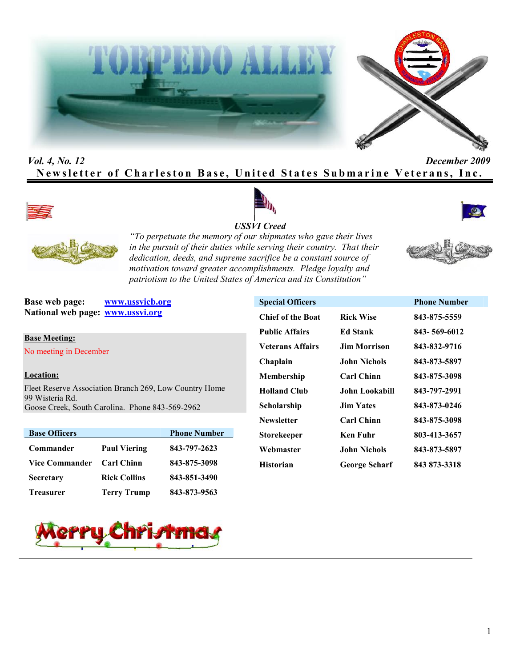



# *Vol. 4, No. 12 December 2009* **Newsletter of Charleston Base, United States Submarine Veterans, Inc.**









*"To perpetuate the memory of our shipmates who gave their lives in the pursuit of their duties while serving their country. That their dedication, deeds, and supreme sacrifice be a constant source of motivation toward greater accomplishments. Pledge loyalty and patriotism to the United States of America and its Constitution"*

**Base web page: www.ussvicb.org National web page: www.ussvi.org**

**Base Meeting:** No meeting in December

### **Location:**

Fleet Reserve Association Branch 269, Low Country Home 99 Wisteria Rd. Goose Creek, South Carolina. Phone 843-569-2962

| <b>Base Officers</b>  |                     | <b>Phone Number</b> |
|-----------------------|---------------------|---------------------|
| Commander             | <b>Paul Viering</b> | 843-797-2623        |
| <b>Vice Commander</b> | <b>Carl Chinn</b>   | 843-875-3098        |
| <b>Secretary</b>      | <b>Rick Collins</b> | 843-851-3490        |
| <b>Treasurer</b>      | <b>Terry Trump</b>  | 843-873-9563        |

| <b>Special Officers</b>  |                      | <b>Phone Number</b> |
|--------------------------|----------------------|---------------------|
| <b>Chief of the Boat</b> | <b>Rick Wise</b>     | 843-875-5559        |
| <b>Public Affairs</b>    | Ed Stank             | 843-569-6012        |
| <b>Veterans Affairs</b>  | Jim Morrison         | 843-832-9716        |
| Chaplain                 | John Nichols         | 843-873-5897        |
| Membership               | <b>Carl Chinn</b>    | 843-875-3098        |
| <b>Holland Club</b>      | John Lookabill       | 843-797-2991        |
| Scholarship              | <b>Jim Yates</b>     | 843-873-0246        |
| <b>Newsletter</b>        | <b>Carl Chinn</b>    | 843-875-3098        |
| Storekeeper              | Ken Fuhr             | 803-413-3657        |
| Webmaster                | <b>John Nichols</b>  | 843-873-5897        |
| Historian                | <b>George Scharf</b> | 843 873-3318        |

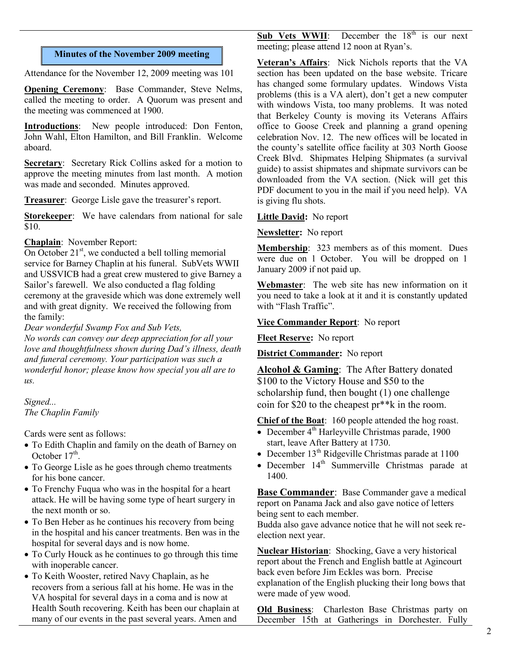### **Minutes of the November 2009 meeting**

Attendance for the November 12, 2009 meeting was 101

**Opening Ceremony**: Base Commander, Steve Nelms, called the meeting to order. A Quorum was present and the meeting was commenced at 1900.

**Introductions**: New people introduced: Don Fenton, John Wahl, Elton Hamilton, and Bill Franklin. Welcome aboard.

**Secretary**: Secretary Rick Collins asked for a motion to approve the meeting minutes from last month. A motion was made and seconded. Minutes approved.

**Treasurer**: George Lisle gave the treasurer's report.

**Storekeeper**: We have calendars from national for sale \$10.

### **Chaplain**: November Report:

On October  $21^{st}$ , we conducted a bell tolling memorial service for Barney Chaplin at his funeral. SubVets WWII and USSVICB had a great crew mustered to give Barney a Sailor's farewell. We also conducted a flag folding ceremony at the graveside which was done extremely well and with great dignity. We received the following from the family:

*Dear wonderful Swamp Fox and Sub Vets,*

*No words can convey our deep appreciation for all your love and thoughtfulness shown during Dad's illness, death and funeral ceremony. Your participation was such a wonderful honor; please know how special you all are to us.*

### *Signed...*

*The Chaplin Family*

Cards were sent as follows:

- To Edith Chaplin and family on the death of Barney on October  $17<sup>th</sup>$ .
- To George Lisle as he goes through chemo treatments for his bone cancer.
- To Frenchy Fuqua who was in the hospital for a heart attack. He will be having some type of heart surgery in the next month or so.
- To Ben Heber as he continues his recovery from being in the hospital and his cancer treatments. Ben was in the hospital for several days and is now home.
- To Curly Houck as he continues to go through this time with inoperable cancer.
- To Keith Wooster, retired Navy Chaplain, as he recovers from a serious fall at his home. He was in the VA hospital for several days in a coma and is now at Health South recovering. Keith has been our chaplain at many of our events in the past several years. Amen and

**Sub Vets WWII**: December the 18<sup>th</sup> is our next meeting; please attend 12 noon at Ryan's.

**Veteran's Affairs**: Nick Nichols reports that the VA section has been updated on the base website. Tricare has changed some formulary updates. Windows Vista problems (this is a VA alert), don't get a new computer with windows Vista, too many problems. It was noted that Berkeley County is moving its Veterans Affairs office to Goose Creek and planning a grand opening celebration Nov. 12. The new offices will be located in the county's satellite office facility at 303 North Goose Creek Blvd. Shipmates Helping Shipmates (a survival guide) to assist shipmates and shipmate survivors can be downloaded from the VA section. (Nick will get this PDF document to you in the mail if you need help). VA is giving flu shots.

### **Little David:** No report

**Newsletter:** No report

**Membership**: 323 members as of this moment. Dues were due on 1 October. You will be dropped on 1 January 2009 if not paid up.

**Webmaster**: The web site has new information on it you need to take a look at it and it is constantly updated with "Flash Traffic".

### **Vice Commander Report**: No report

**Fleet Reserve:** No report

**District Commander:** No report

**Alcohol & Gaming**: The After Battery donated \$100 to the Victory House and \$50 to the scholarship fund, then bought (1) one challenge coin for \$20 to the cheapest pr\*\*k in the room.

**Chief of the Boat**: 160 people attended the hog roast.

- $\overline{\bullet}$  December 4<sup>th</sup> Harleyville Christmas parade, 1900 start, leave After Battery at 1730.
- December  $13<sup>th</sup>$  Ridgeville Christmas parade at  $1100$
- December  $14<sup>th</sup>$  Summerville Christmas parade at 1400.

**Base Commander**: Base Commander gave a medical report on Panama Jack and also gave notice of letters being sent to each member.

Budda also gave advance notice that he will not seek reelection next year.

**Nuclear Historian**: Shocking, Gave a very historical report about the French and English battle at Agincourt back even before Jim Eckles was born. Precise explanation of the English plucking their long bows that were made of yew wood.

**Old Business**: Charleston Base Christmas party on December 15th at Gatherings in Dorchester. Fully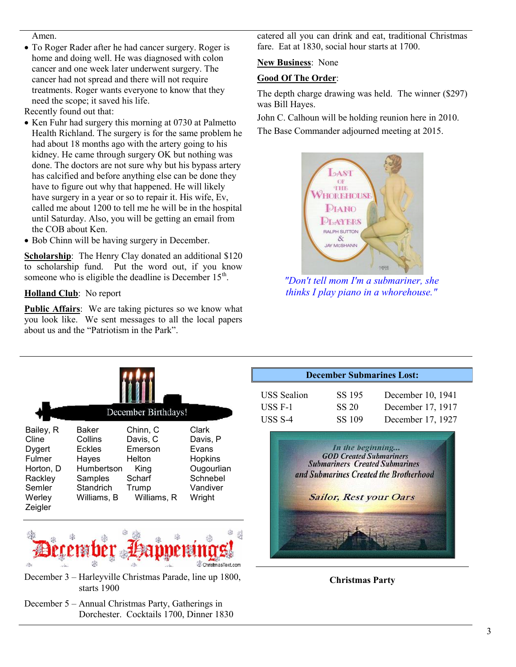#### Amen.

 To Roger Rader after he had cancer surgery. Roger is home and doing well. He was diagnosed with colon cancer and one week later underwent surgery. The cancer had not spread and there will not require treatments. Roger wants everyone to know that they need the scope; it saved his life.

Recently found out that:

- Ken Fuhr had surgery this morning at 0730 at Palmetto Health Richland. The surgery is for the same problem he had about 18 months ago with the artery going to his kidney. He came through surgery OK but nothing was done. The doctors are not sure why but his bypass artery has calcified and before anything else can be done they have to figure out why that happened. He will likely have surgery in a year or so to repair it. His wife, Ev, called me about 1200 to tell me he will be in the hospital until Saturday. Also, you will be getting an email from the COB about Ken.
- Bob Chinn will be having surgery in December.

**Scholarship**: The Henry Clay donated an additional \$120 to scholarship fund. Put the word out, if you know someone who is eligible the deadline is December  $15<sup>th</sup>$ .

## **Holland Club**: No report

**Public Affairs:** We are taking pictures so we know what you look like. We sent messages to all the local papers about us and the "Patriotism in the Park".

catered all you can drink and eat, traditional Christmas fare. Eat at 1830, social hour starts at 1700.

## **New Business**: None

## **Good Of The Order**:

The depth charge drawing was held. The winner (\$297) was Bill Hayes.

John C. Calhoun will be holding reunion here in 2010. The Base Commander adjourned meeting at 2015.



*"Don't tell mom I'm a submariner, she thinks I play piano in a whorehouse."*

|                                                                                               |                                                                                          | December Birthdays!                                                                 |                                                                                              |
|-----------------------------------------------------------------------------------------------|------------------------------------------------------------------------------------------|-------------------------------------------------------------------------------------|----------------------------------------------------------------------------------------------|
| Bailey, R<br>Cline<br>Dygert<br>Fulmer<br>Horton, D<br>Rackley<br>Semler<br>Werley<br>Zeigler | Baker<br>Collins<br>Eckles<br>Hayes<br>Humbertson<br>Samples<br>Standrich<br>Williams, B | Chinn, C<br>Davis, C<br>Emerson<br>Helton<br>King<br>Scharf<br>Trump<br>Williams, R | Clark<br>Davis, P<br>Evans<br><b>Hopkins</b><br>Ougourlian<br>Schnebel<br>Vandiver<br>Wright |
|                                                                                               |                                                                                          |                                                                                     |                                                                                              |

December 3 – Harleyville Christmas Parade, line up 1800, starts 1900

ChristmasText.com

December 5 – Annual Christmas Party, Gatherings in Dorchester. Cocktails 1700, Dinner 1830

| <b>December Submarines Lost:</b> |        |                   |
|----------------------------------|--------|-------------------|
| <b>USS</b> Sealion               | SS 195 | December 10, 1941 |
| USS F-1                          | SS 20  | December 17, 1917 |
| USS S-4                          | SS 109 | December 17, 1927 |



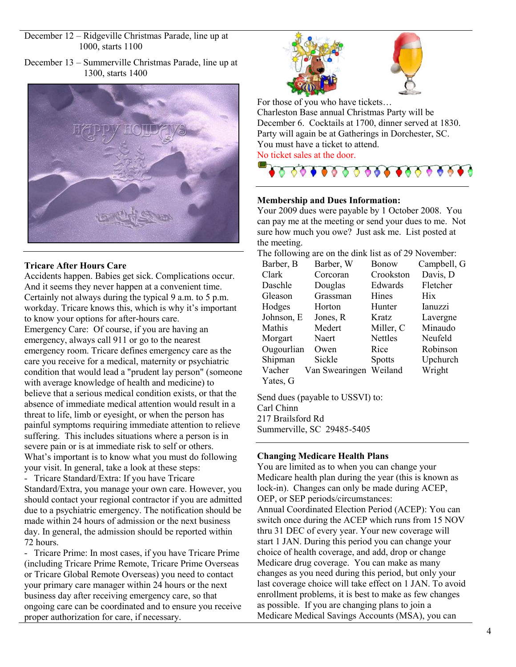December 12 – Ridgeville Christmas Parade, line up at 1000, starts 1100

December 13 – Summerville Christmas Parade, line up at 1300, starts 1400



## **Tricare After Hours Care**

Accidents happen. Babies get sick. Complications occur. And it seems they never happen at a convenient time. Certainly not always during the typical 9 a.m. to 5 p.m. workday. Tricare knows this, which is why it's important to know your options for after-hours care.

Emergency Care: Of course, if you are having an emergency, always call 911 or go to the nearest emergency room. Tricare defines emergency care as the care you receive for a medical, maternity or psychiatric condition that would lead a "prudent lay person" (someone with average knowledge of health and medicine) to believe that a serious medical condition exists, or that the absence of immediate medical attention would result in a threat to life, limb or eyesight, or when the person has painful symptoms requiring immediate attention to relieve suffering. This includes situations where a person is in severe pain or is at immediate risk to self or others. What's important is to know what you must do following your visit. In general, take a look at these steps:

- Tricare Standard/Extra: If you have Tricare Standard/Extra, you manage your own care. However, you should contact your regional contractor if you are admitted due to a psychiatric emergency. The notification should be made within 24 hours of admission or the next business day. In general, the admission should be reported within 72 hours.

- Tricare Prime: In most cases, if you have Tricare Prime (including Tricare Prime Remote, Tricare Prime Overseas or Tricare Global Remote Overseas) you need to contact your primary care manager within 24 hours or the next business day after receiving emergency care, so that ongoing care can be coordinated and to ensure you receive proper authorization for care, if necessary.





For those of you who have tickets… Charleston Base annual Christmas Party will be December 6. Cocktails at 1700, dinner served at 1830. Party will again be at Gatherings in Dorchester, SC. You must have a ticket to attend. No ticket sales at the door.



### **Membership and Dues Information:**

Your 2009 dues were payable by 1 October 2008. You can pay me at the meeting or send your dues to me. Not sure how much you owe? Just ask me. List posted at the meeting.

The following are on the dink list as of 29 November:

| Barber, B  | Barber, W      | <b>Bonow</b>   | Campbell, G |
|------------|----------------|----------------|-------------|
| Clark      | Corcoran       | Crookston      | Davis, D    |
| Daschle    | Douglas        | Edwards        | Fletcher    |
| Gleason    | Grassman       | <b>Hines</b>   | <b>Hix</b>  |
| Hodges     | Horton         | Hunter         | Ianuzzi     |
| Johnson, E | Jones, R       | Kratz          | Lavergne    |
| Mathis     | Medert         | Miller, C      | Minaudo     |
| Morgart    | Naert          | <b>Nettles</b> | Neufeld     |
| Ougourlian | Owen           | Rice           | Robinson    |
| Shipman    | Sickle         | <b>Spotts</b>  | Upchurch    |
| Vacher     | Van Swearingen | Weiland        | Wright      |
| Yates, G   |                |                |             |
|            |                |                |             |

Send dues (payable to USSVI) to: Carl Chinn 217 Brailsford Rd Summerville, SC 29485-5405

## **Changing Medicare Health Plans**

You are limited as to when you can change your Medicare health plan during the year (this is known as lock-in). Changes can only be made during ACEP, OEP, or SEP periods/circumstances: Annual Coordinated Election Period (ACEP): You can switch once during the ACEP which runs from 15 NOV thru 31 DEC of every year. Your new coverage will start 1 JAN. During this period you can change your choice of health coverage, and add, drop or change Medicare drug coverage. You can make as many changes as you need during this period, but only your last coverage choice will take effect on 1 JAN. To avoid enrollment problems, it is best to make as few changes as possible. If you are changing plans to join a Medicare Medical Savings Accounts (MSA), you can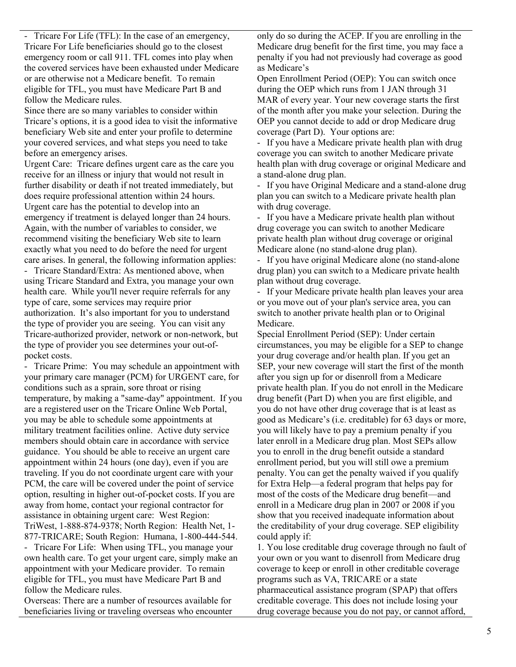- Tricare For Life (TFL): In the case of an emergency, Tricare For Life beneficiaries should go to the closest emergency room or call 911. TFL comes into play when the covered services have been exhausted under Medicare or are otherwise not a Medicare benefit. To remain eligible for TFL, you must have Medicare Part B and follow the Medicare rules.

Since there are so many variables to consider within Tricare's options, it is a good idea to visit the informative beneficiary Web site and enter your profile to determine your covered services, and what steps you need to take before an emergency arises.

Urgent Care: Tricare defines urgent care as the care you receive for an illness or injury that would not result in further disability or death if not treated immediately, but does require professional attention within 24 hours. Urgent care has the potential to develop into an emergency if treatment is delayed longer than 24 hours. Again, with the number of variables to consider, we recommend visiting the beneficiary Web site to learn exactly what you need to do before the need for urgent care arises. In general, the following information applies:

- Tricare Standard/Extra: As mentioned above, when using Tricare Standard and Extra, you manage your own health care. While you'll never require referrals for any type of care, some services may require prior authorization. It's also important for you to understand the type of provider you are seeing. You can visit any Tricare-authorized provider, network or non-network, but the type of provider you see determines your out-ofpocket costs.

- Tricare Prime: You may schedule an appointment with your primary care manager (PCM) for URGENT care, for conditions such as a sprain, sore throat or rising temperature, by making a "same-day" appointment. If you are a registered user on the Tricare Online Web Portal, you may be able to schedule some appointments at military treatment facilities online. Active duty service members should obtain care in accordance with service guidance. You should be able to receive an urgent care appointment within 24 hours (one day), even if you are traveling. If you do not coordinate urgent care with your PCM, the care will be covered under the point of service option, resulting in higher out-of-pocket costs. If you are away from home, contact your regional contractor for assistance in obtaining urgent care: West Region: TriWest, 1-888-874-9378; North Region: Health Net, 1- 877-TRICARE; South Region: Humana, 1-800-444-544. - Tricare For Life: When using TFL, you manage your own health care. To get your urgent care, simply make an appointment with your Medicare provider. To remain

eligible for TFL, you must have Medicare Part B and follow the Medicare rules.

Overseas: There are a number of resources available for beneficiaries living or traveling overseas who encounter

only do so during the ACEP. If you are enrolling in the Medicare drug benefit for the first time, you may face a penalty if you had not previously had coverage as good as Medicare's

Open Enrollment Period (OEP): You can switch once during the OEP which runs from 1 JAN through 31 MAR of every year. Your new coverage starts the first of the month after you make your selection. During the OEP you cannot decide to add or drop Medicare drug coverage (Part D). Your options are:

- If you have a Medicare private health plan with drug coverage you can switch to another Medicare private health plan with drug coverage or original Medicare and a stand-alone drug plan.

If you have Original Medicare and a stand-alone drug plan you can switch to a Medicare private health plan with drug coverage.

- If you have a Medicare private health plan without drug coverage you can switch to another Medicare private health plan without drug coverage or original Medicare alone (no stand-alone drug plan).

- If you have original Medicare alone (no stand-alone drug plan) you can switch to a Medicare private health plan without drug coverage.

- If your Medicare private health plan leaves your area or you move out of your plan's service area, you can switch to another private health plan or to Original Medicare.

Special Enrollment Period (SEP): Under certain circumstances, you may be eligible for a SEP to change your drug coverage and/or health plan. If you get an SEP, your new coverage will start the first of the month after you sign up for or disenroll from a Medicare private health plan. If you do not enroll in the Medicare drug benefit (Part D) when you are first eligible, and you do not have other drug coverage that is at least as good as Medicare's (i.e. creditable) for 63 days or more, you will likely have to pay a premium penalty if you later enroll in a Medicare drug plan. Most SEPs allow you to enroll in the drug benefit outside a standard enrollment period, but you will still owe a premium penalty. You can get the penalty waived if you qualify for Extra Help—a federal program that helps pay for most of the costs of the Medicare drug benefit—and enroll in a Medicare drug plan in 2007 or 2008 if you show that you received inadequate information about the creditability of your drug coverage. SEP eligibility could apply if:

1. You lose creditable drug coverage through no fault of your own or you want to disenroll from Medicare drug coverage to keep or enroll in other creditable coverage programs such as VA, TRICARE or a state pharmaceutical assistance program (SPAP) that offers creditable coverage. This does not include losing your drug coverage because you do not pay, or cannot afford,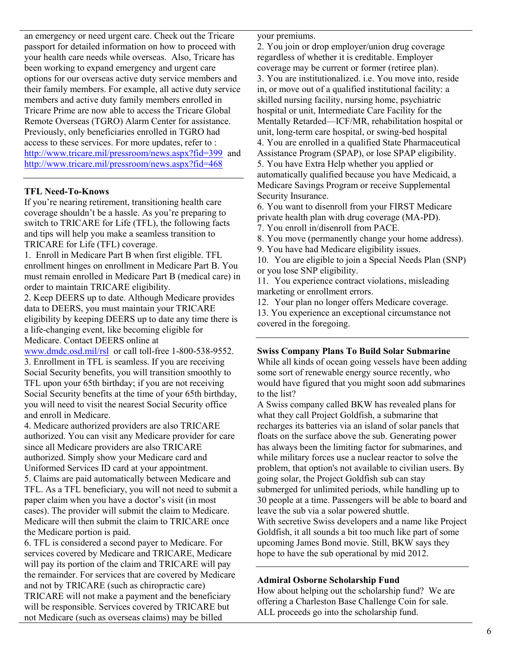an emergency or need urgent care. Check out the Tricare passport for detailed information on how to proceed with your health care needs while overseas. Also, Tricare has been working to expand emergency and urgent care options for our overseas active duty service members and their family members. For example, all active duty service members and active duty family members enrolled in Tricare Prime are now able to access the Tricare Global Remote Overseas (TGRO) Alarm Center for assistance. Previously, only beneficiaries enrolled in TGRO had access to these services. For more updates, refer to : http://www.tricare.mil/pressroom/news.aspx?fid=399 and http://www.tricare.mil/pressroom/news.aspx?fid=468

### **TFL Need-To-Knows**

If you're nearing retirement, transitioning health care coverage shouldn't be a hassle. As you're preparing to switch to TRICARE for Life (TFL), the following facts and tips will help you make a seamless transition to TRICARE for Life (TFL) coverage.

1. Enroll in Medicare Part B when first eligible. TFL enrollment hinges on enrollment in Medicare Part B. You must remain enrolled in Medicare Part B (medical care) in order to maintain TRICARE eligibility.

2. Keep DEERS up to date. Although Medicare provides data to DEERS, you must maintain your TRICARE eligibility by keeping DEERS up to date any time there is a life-changing event, like becoming eligible for Medicare. Contact DEERS online at

www.dmdc.osd.mil/rsl or call toll-free 1-800-538-9552. 3. Enrollment in TFL is seamless. If you are receiving Social Security benefits, you will transition smoothly to TFL upon your 65th birthday; if you are not receiving Social Security benefits at the time of your 65th birthday, you will need to visit the nearest Social Security office and enroll in Medicare.

4. Medicare authorized providers are also TRICARE authorized. You can visit any Medicare provider for care since all Medicare providers are also TRICARE authorized. Simply show your Medicare card and Uniformed Services ID card at your appointment. 5. Claims are paid automatically between Medicare and TFL. As a TFL beneficiary, you will not need to submit a paper claim when you have a doctor's visit (in most cases). The provider will submit the claim to Medicare. Medicare will then submit the claim to TRICARE once the Medicare portion is paid.

6. TFL is considered a second payer to Medicare. For services covered by Medicare and TRICARE, Medicare will pay its portion of the claim and TRICARE will pay the remainder. For services that are covered by Medicare and not by TRICARE (such as chiropractic care) TRICARE will not make a payment and the beneficiary will be responsible. Services covered by TRICARE but not Medicare (such as overseas claims) may be billed

your premiums.

2. You join or drop employer/union drug coverage regardless of whether it is creditable. Employer coverage may be current or former (retiree plan). 3. You are institutionalized. i.e. You move into, reside in, or move out of a qualified institutional facility: a skilled nursing facility, nursing home, psychiatric hospital or unit, Intermediate Care Facility for the Mentally Retarded—ICF/MR, rehabilitation hospital or unit, long-term care hospital, or swing-bed hospital 4. You are enrolled in a qualified State Pharmaceutical Assistance Program (SPAP), or lose SPAP eligibility. 5. You have Extra Help whether you applied or automatically qualified because you have Medicaid, a Medicare Savings Program or receive Supplemental Security Insurance.

6. You want to disenroll from your FIRST Medicare private health plan with drug coverage (MA-PD).

7. You enroll in/disenroll from PACE.

8. You move (permanently change your home address).

9. You have had Medicare eligibility issues.

10. You are eligible to join a Special Needs Plan (SNP) or you lose SNP eligibility.

11. You experience contract violations, misleading marketing or enrollment errors.

12. Your plan no longer offers Medicare coverage.

13. You experience an exceptional circumstance not covered in the foregoing.

### **Swiss Company Plans To Build Solar Submarine**

While all kinds of ocean going vessels have been adding some sort of renewable energy source recently, who would have figured that you might soon add submarines to the list?

A Swiss company called BKW has revealed plans for what they call Project Goldfish, a submarine that recharges its batteries via an island of solar panels that floats on the surface above the sub. Generating power has always been the limiting factor for submarines, and while military forces use a nuclear reactor to solve the problem, that option's not available to civilian users. By going solar, the Project Goldfish sub can stay submerged for unlimited periods, while handling up to 30 people at a time. Passengers will be able to board and leave the sub via a solar powered shuttle. With secretive Swiss developers and a name like Project Goldfish, it all sounds a bit too much like part of some upcoming James Bond movie. Still, BKW says they hope to have the sub operational by mid 2012.

## **Admiral Osborne Scholarship Fund**

How about helping out the scholarship fund? We are offering a Charleston Base Challenge Coin for sale. ALL proceeds go into the scholarship fund.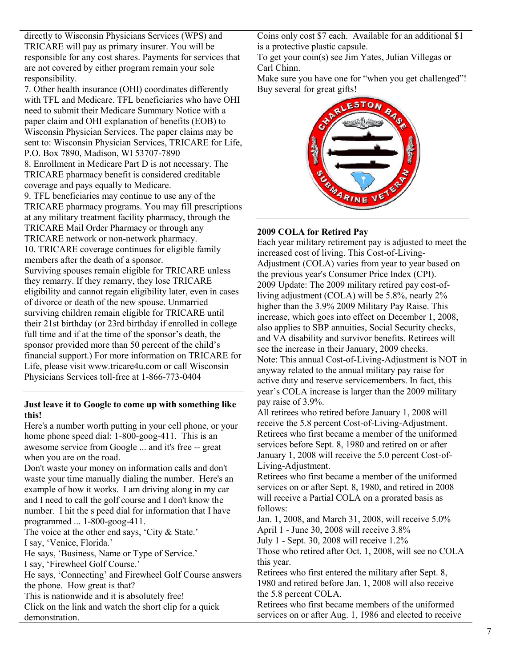directly to Wisconsin Physicians Services (WPS) and TRICARE will pay as primary insurer. You will be responsible for any cost shares. Payments for services that are not covered by either program remain your sole responsibility.

7. Other health insurance (OHI) coordinates differently with TFL and Medicare. TFL beneficiaries who have OHI need to submit their Medicare Summary Notice with a paper claim and OHI explanation of benefits (EOB) to Wisconsin Physician Services. The paper claims may be sent to: Wisconsin Physician Services, TRICARE for Life, P.O. Box 7890, Madison, WI 53707-7890 8. Enrollment in Medicare Part D is not necessary. The TRICARE pharmacy benefit is considered creditable coverage and pays equally to Medicare. 9. TFL beneficiaries may continue to use any of the TRICARE pharmacy programs. You may fill prescriptions at any military treatment facility pharmacy, through the TRICARE Mail Order Pharmacy or through any TRICARE network or non-network pharmacy. 10. TRICARE coverage continues for eligible family members after the death of a sponsor. Surviving spouses remain eligible for TRICARE unless

they remarry. If they remarry, they lose TRICARE eligibility and cannot regain eligibility later, even in cases of divorce or death of the new spouse. Unmarried surviving children remain eligible for TRICARE until their 21st birthday (or 23rd birthday if enrolled in college full time and if at the time of the sponsor's death, the sponsor provided more than 50 percent of the child's financial support.) For more information on TRICARE for Life, please visit www.tricare4u.com or call Wisconsin Physicians Services toll-free at 1-866-773-0404

## **Just leave it to Google to come up with something like this!**

Here's a number worth putting in your cell phone, or your home phone speed dial: 1-800-goog-411. This is an awesome service from Google ... and it's free -- great when you are on the road.

Don't waste your money on information calls and don't waste your time manually dialing the number. Here's an example of how it works. I am driving along in my car and I need to call the golf course and I don't know the number. I hit the s peed dial for information that I have programmed ... 1-800-goog-411.

The voice at the other end says, 'City & State.' I say, 'Venice, Florida.'

He says, 'Business, Name or Type of Service.'

I say, 'Firewheel Golf Course.'

He says, 'Connecting' and Firewheel Golf Course answers the phone. How great is that?

This is nationwide and it is absolutely free!

Click on the link and watch the short clip for a quick demonstration.

Coins only cost \$7 each. Available for an additional \$1 is a protective plastic capsule.

To get your coin(s) see Jim Yates, Julian Villegas or Carl Chinn.

Make sure you have one for "when you get challenged"! Buy several for great gifts!



## **2009 COLA for Retired Pay**

Each year military retirement pay is adjusted to meet the increased cost of living. This Cost-of-Living-Adjustment (COLA) varies from year to year based on the previous year's Consumer Price Index (CPI). 2009 Update: The 2009 military retired pay cost-ofliving adjustment (COLA) will be 5.8%, nearly 2% higher than the 3.9% 2009 Military Pay Raise. This increase, which goes into effect on December 1, 2008, also applies to SBP annuities, Social Security checks, and VA disability and survivor benefits. Retirees will see the increase in their January, 2009 checks. Note: This annual Cost-of-Living-Adjustment is NOT in anyway related to the annual military pay raise for active duty and reserve servicemembers. In fact, this year's COLA increase is larger than the 2009 military pay raise of 3.9%.

All retirees who retired before January 1, 2008 will receive the 5.8 percent Cost-of-Living-Adjustment. Retirees who first became a member of the uniformed services before Sept. 8, 1980 and retired on or after January 1, 2008 will receive the 5.0 percent Cost-of-Living-Adjustment.

Retirees who first became a member of the uniformed services on or after Sept. 8, 1980, and retired in 2008 will receive a Partial COLA on a prorated basis as follows:

Jan. 1, 2008, and March 31, 2008, will receive 5.0% April 1 - June 30, 2008 will receive 3.8% July 1 - Sept. 30, 2008 will receive 1.2%

Those who retired after Oct. 1, 2008, will see no COLA this year.

Retirees who first entered the military after Sept. 8, 1980 and retired before Jan. 1, 2008 will also receive the 5.8 percent COLA.

Retirees who first became members of the uniformed services on or after Aug. 1, 1986 and elected to receive